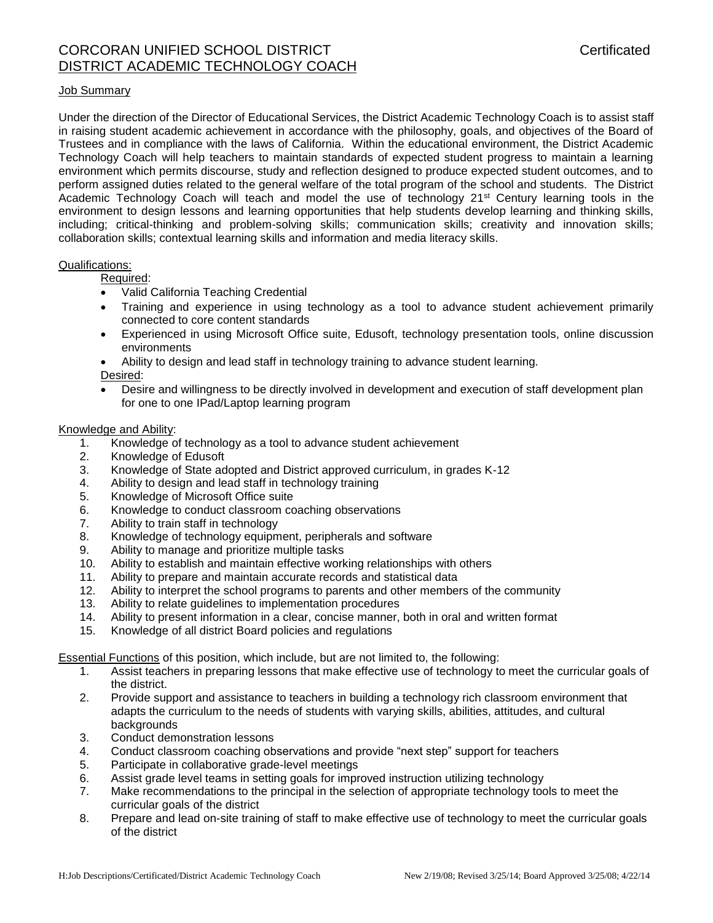## Job Summary

Under the direction of the Director of Educational Services, the District Academic Technology Coach is to assist staff in raising student academic achievement in accordance with the philosophy, goals, and objectives of the Board of Trustees and in compliance with the laws of California. Within the educational environment, the District Academic Technology Coach will help teachers to maintain standards of expected student progress to maintain a learning environment which permits discourse, study and reflection designed to produce expected student outcomes, and to perform assigned duties related to the general welfare of the total program of the school and students. The District Academic Technology Coach will teach and model the use of technology 21<sup>st</sup> Century learning tools in the environment to design lessons and learning opportunities that help students develop learning and thinking skills, including; critical-thinking and problem-solving skills; communication skills; creativity and innovation skills; collaboration skills; contextual learning skills and information and media literacy skills.

## Qualifications:

Required:

- Valid California Teaching Credential
- Training and experience in using technology as a tool to advance student achievement primarily connected to core content standards
- Experienced in using Microsoft Office suite, Edusoft, technology presentation tools, online discussion environments
- Ability to design and lead staff in technology training to advance student learning. Desired:
- Desire and willingness to be directly involved in development and execution of staff development plan for one to one IPad/Laptop learning program

## Knowledge and Ability:

- 1. Knowledge of technology as a tool to advance student achievement
- 2. Knowledge of Edusoft
- 3. Knowledge of State adopted and District approved curriculum, in grades K-12
- 4. Ability to design and lead staff in technology training
- 5. Knowledge of Microsoft Office suite
- 6. Knowledge to conduct classroom coaching observations
- 7. Ability to train staff in technology
- 8. Knowledge of technology equipment, peripherals and software
- 9. Ability to manage and prioritize multiple tasks
- 10. Ability to establish and maintain effective working relationships with others
- 11. Ability to prepare and maintain accurate records and statistical data
- 12. Ability to interpret the school programs to parents and other members of the community
- 13. Ability to relate guidelines to implementation procedures
- 14. Ability to present information in a clear, concise manner, both in oral and written format
- 15. Knowledge of all district Board policies and regulations

Essential Functions of this position, which include, but are not limited to, the following:

- 1. Assist teachers in preparing lessons that make effective use of technology to meet the curricular goals of the district.
- 2. Provide support and assistance to teachers in building a technology rich classroom environment that adapts the curriculum to the needs of students with varying skills, abilities, attitudes, and cultural backgrounds
- 3. Conduct demonstration lessons
- 4. Conduct classroom coaching observations and provide "next step" support for teachers
- 5. Participate in collaborative grade-level meetings
- 6. Assist grade level teams in setting goals for improved instruction utilizing technology
- 7. Make recommendations to the principal in the selection of appropriate technology tools to meet the curricular goals of the district
- 8. Prepare and lead on-site training of staff to make effective use of technology to meet the curricular goals of the district